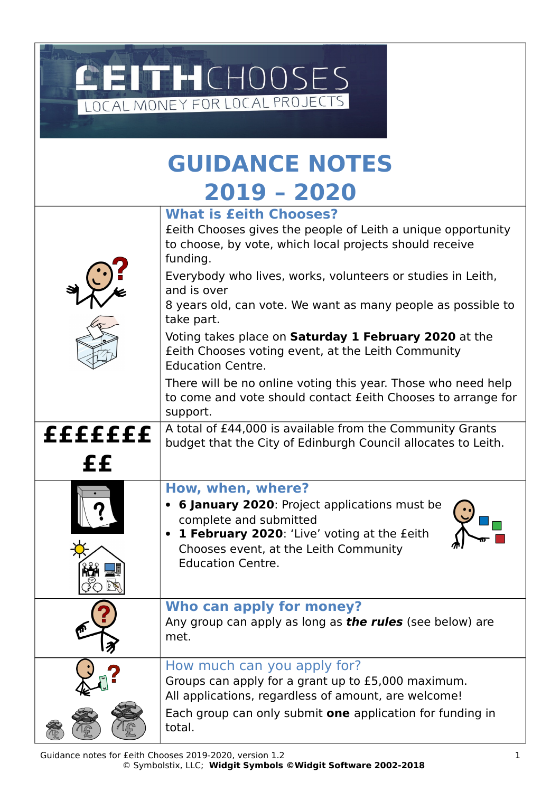

All applications, regardless of amount, are welcome! Each group can only submit **one** application for funding in total.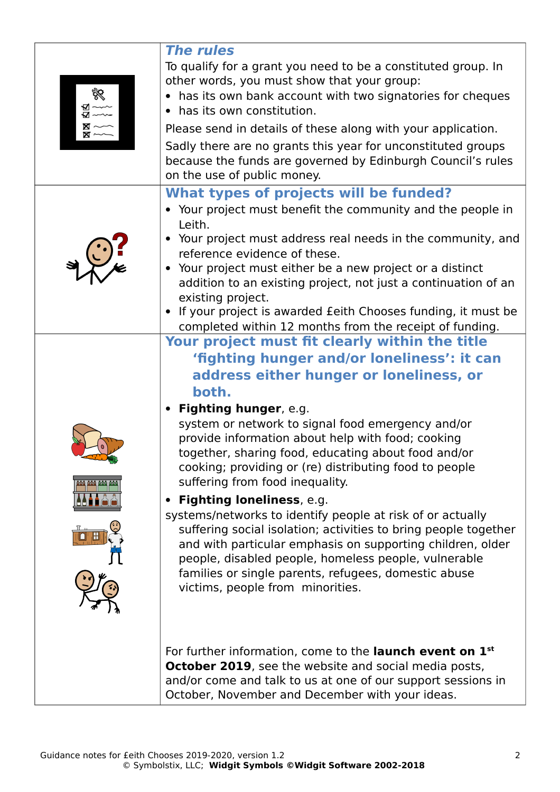| <b>The rules</b><br>To qualify for a grant you need to be a constituted group. In<br>other words, you must show that your group:<br>• has its own bank account with two signatories for cheques<br>has its own constitution.<br>$\bullet$<br>Please send in details of these along with your application.<br>Sadly there are no grants this year for unconstituted groups<br>because the funds are governed by Edinburgh Council's rules<br>on the use of public money.                                                                                                                                                                                                                                                                                                                                                         |
|---------------------------------------------------------------------------------------------------------------------------------------------------------------------------------------------------------------------------------------------------------------------------------------------------------------------------------------------------------------------------------------------------------------------------------------------------------------------------------------------------------------------------------------------------------------------------------------------------------------------------------------------------------------------------------------------------------------------------------------------------------------------------------------------------------------------------------|
| What types of projects will be funded?<br>• Your project must benefit the community and the people in<br>Leith.<br>• Your project must address real needs in the community, and<br>reference evidence of these.<br>• Your project must either be a new project or a distinct<br>addition to an existing project, not just a continuation of an<br>existing project.<br>• If your project is awarded feith Chooses funding, it must be<br>completed within 12 months from the receipt of funding.                                                                                                                                                                                                                                                                                                                                |
| Your project must fit clearly within the title<br>'fighting hunger and/or loneliness': it can<br>address either hunger or loneliness, or<br>both.<br><b>Fighting hunger, e.g.</b><br>system or network to signal food emergency and/or<br>provide information about help with food; cooking<br>together, sharing food, educating about food and/or<br>cooking; providing or (re) distributing food to people<br>suffering from food inequality.<br>Fighting loneliness, e.g.<br>systems/networks to identify people at risk of or actually<br>suffering social isolation; activities to bring people together<br>and with particular emphasis on supporting children, older<br>people, disabled people, homeless people, vulnerable<br>families or single parents, refugees, domestic abuse<br>victims, people from minorities. |
| For further information, come to the <b>launch event on 1</b> <sup>st</sup><br><b>October 2019</b> , see the website and social media posts,<br>and/or come and talk to us at one of our support sessions in<br>October, November and December with your ideas.                                                                                                                                                                                                                                                                                                                                                                                                                                                                                                                                                                 |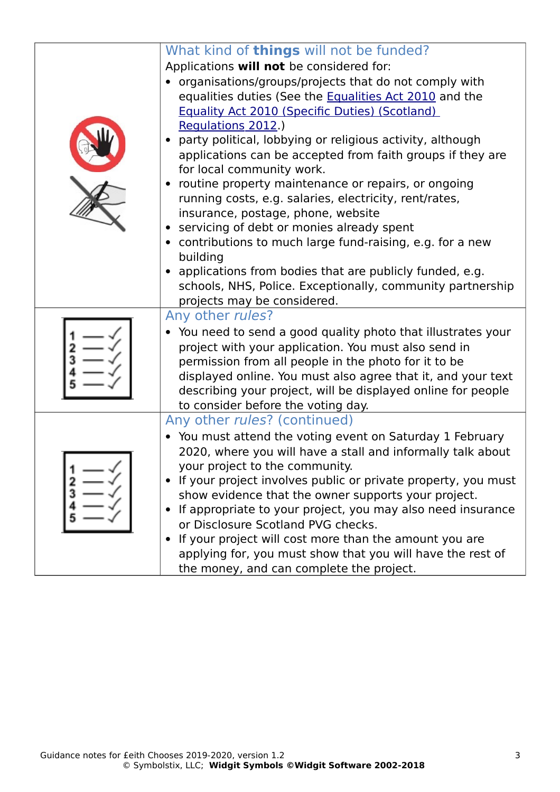| What kind of <b>things</b> will not be funded?<br>Applications will not be considered for:<br>• organisations/groups/projects that do not comply with<br>equalities duties (See the <b>Equalities Act 2010</b> and the<br><b>Equality Act 2010 (Specific Duties) (Scotland)</b><br>Regulations 2012.)<br>party political, lobbying or religious activity, although<br>applications can be accepted from faith groups if they are<br>for local community work.<br>routine property maintenance or repairs, or ongoing<br>running costs, e.g. salaries, electricity, rent/rates,<br>insurance, postage, phone, website<br>servicing of debt or monies already spent<br>contributions to much large fund-raising, e.g. for a new<br>building<br>applications from bodies that are publicly funded, e.g.<br>schools, NHS, Police. Exceptionally, community partnership<br>projects may be considered.<br>Any other rules? |
|-----------------------------------------------------------------------------------------------------------------------------------------------------------------------------------------------------------------------------------------------------------------------------------------------------------------------------------------------------------------------------------------------------------------------------------------------------------------------------------------------------------------------------------------------------------------------------------------------------------------------------------------------------------------------------------------------------------------------------------------------------------------------------------------------------------------------------------------------------------------------------------------------------------------------|
| • You need to send a good quality photo that illustrates your<br>project with your application. You must also send in<br>permission from all people in the photo for it to be<br>displayed online. You must also agree that it, and your text<br>describing your project, will be displayed online for people<br>to consider before the voting day.                                                                                                                                                                                                                                                                                                                                                                                                                                                                                                                                                                   |
| Any other rules? (continued)<br>• You must attend the voting event on Saturday 1 February<br>2020, where you will have a stall and informally talk about<br>your project to the community.<br>If your project involves public or private property, you must<br>show evidence that the owner supports your project.<br>If appropriate to your project, you may also need insurance<br>or Disclosure Scotland PVG checks.<br>If your project will cost more than the amount you are<br>$\bullet$<br>applying for, you must show that you will have the rest of<br>the money, and can complete the project.                                                                                                                                                                                                                                                                                                              |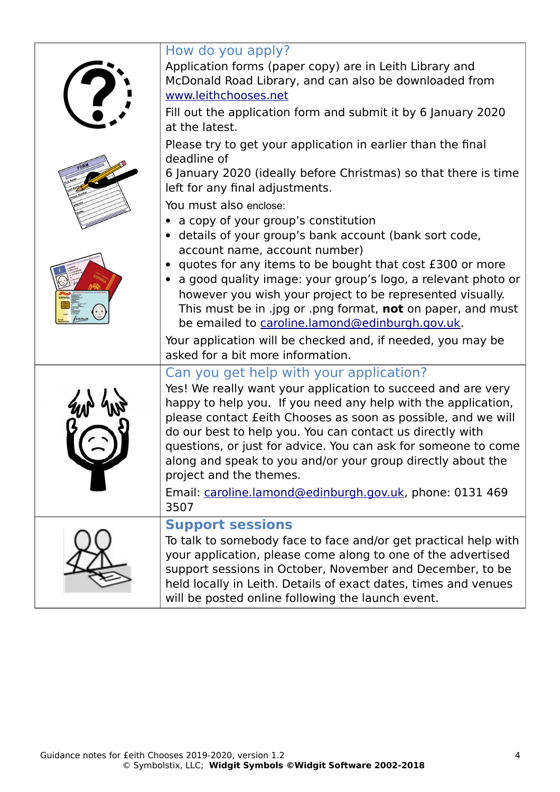|  | How do you apply?<br>Application forms (paper copy) are in Leith Library and<br>McDonald Road Library, and can also be downloaded from<br>www.leithchooses.net                                                                                                                                                                                                                                                                                                                                                                 |
|--|--------------------------------------------------------------------------------------------------------------------------------------------------------------------------------------------------------------------------------------------------------------------------------------------------------------------------------------------------------------------------------------------------------------------------------------------------------------------------------------------------------------------------------|
|  | Fill out the application form and submit it by 6 January 2020<br>at the latest.                                                                                                                                                                                                                                                                                                                                                                                                                                                |
|  | Please try to get your application in earlier than the final<br>deadline of<br>6 January 2020 (ideally before Christmas) so that there is time<br>left for any final adjustments.                                                                                                                                                                                                                                                                                                                                              |
|  | You must also enclose:<br>a copy of your group's constitution<br>$\bullet$<br>details of your group's bank account (bank sort code,<br>$\bullet$<br>account name, account number)                                                                                                                                                                                                                                                                                                                                              |
|  | quotes for any items to be bought that cost £300 or more<br>a good quality image: your group's logo, a relevant photo or<br>$\bullet$<br>however you wish your project to be represented visually.<br>This must be in .jpg or .png format, not on paper, and must<br>be emailed to caroline.lamond@edinburgh.gov.uk.                                                                                                                                                                                                           |
|  | Your application will be checked and, if needed, you may be<br>asked for a bit more information.                                                                                                                                                                                                                                                                                                                                                                                                                               |
|  | Can you get help with your application?<br>Yes! We really want your application to succeed and are very<br>happy to help you. If you need any help with the application,<br>please contact feith Chooses as soon as possible, and we will<br>do our best to help you. You can contact us directly with<br>questions, or just for advice. You can ask for someone to come<br>along and speak to you and/or your group directly about the<br>project and the themes.<br>Email: caroline.lamond@edinburgh.gov.uk, phone: 0131 469 |
|  | 3507<br><b>Support sessions</b><br>To talk to somebody face to face and/or get practical help with<br>your application, please come along to one of the advertised<br>support sessions in October, November and December, to be<br>held locally in Leith. Details of exact dates, times and venues<br>will be posted online following the launch event.                                                                                                                                                                        |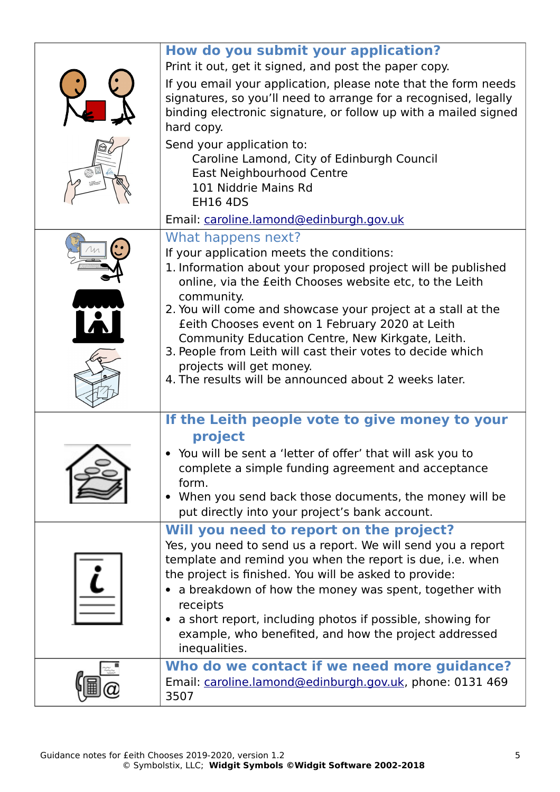| How do you submit your application?<br>Print it out, get it signed, and post the paper copy.<br>If you email your application, please note that the form needs<br>signatures, so you'll need to arrange for a recognised, legally<br>binding electronic signature, or follow up with a mailed signed<br>hard copy.<br>Send your application to:<br>Caroline Lamond, City of Edinburgh Council<br>East Neighbourhood Centre<br>101 Niddrie Mains Rd<br><b>EH16 4DS</b><br>Email: caroline.lamond@edinburgh.gov.uk                   |
|------------------------------------------------------------------------------------------------------------------------------------------------------------------------------------------------------------------------------------------------------------------------------------------------------------------------------------------------------------------------------------------------------------------------------------------------------------------------------------------------------------------------------------|
| What happens next?<br>If your application meets the conditions:<br>1. Information about your proposed project will be published<br>online, via the feith Chooses website etc, to the Leith<br>community.<br>2. You will come and showcase your project at a stall at the<br>£eith Chooses event on 1 February 2020 at Leith<br>Community Education Centre, New Kirkgate, Leith.<br>3. People from Leith will cast their votes to decide which<br>projects will get money.<br>4. The results will be announced about 2 weeks later. |
| If the Leith people vote to give money to your<br>project<br>• You will be sent a 'letter of offer' that will ask you to<br>complete a simple funding agreement and acceptance<br>form.<br>When you send back those documents, the money will be<br>$\bullet$<br>put directly into your project's bank account.                                                                                                                                                                                                                    |
| Will you need to report on the project?<br>Yes, you need to send us a report. We will send you a report<br>template and remind you when the report is due, i.e. when<br>the project is finished. You will be asked to provide:<br>• a breakdown of how the money was spent, together with<br>receipts<br>a short report, including photos if possible, showing for<br>$\bullet$<br>example, who benefited, and how the project addressed<br>inequalities.                                                                          |
| Who do we contact if we need more guidance?<br>Email: caroline.lamond@edinburgh.gov.uk, phone: 0131 469<br>3507                                                                                                                                                                                                                                                                                                                                                                                                                    |